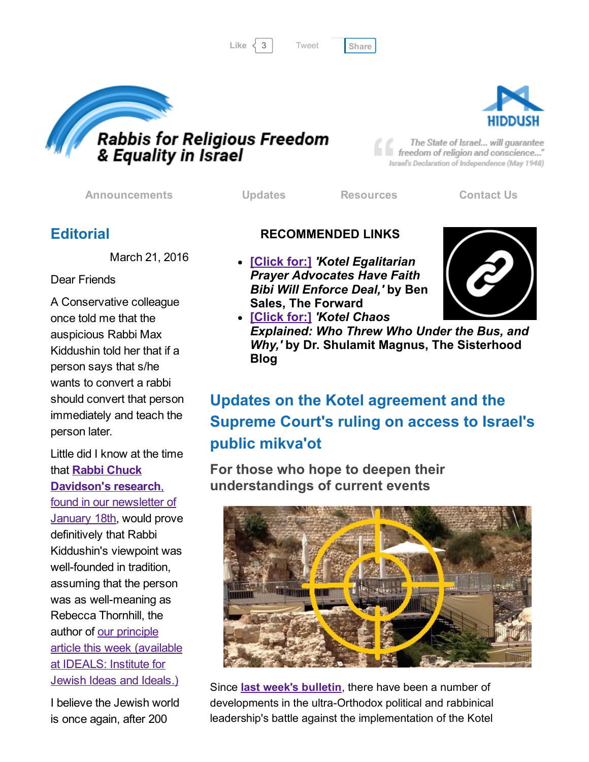```
Tweet
```




The State of Israel... will guarantee freedom of religion and conscience..." Israel's Declaration of Independence (May 1948)

[Announcements](http://rrfei.org/announcements/) [Updates](http://rrfei.org/about/rrfei-updates/) [Resources](http://rrfei.org/resources/) [Contact](http://rrfei.org/contact-us/) Us

## **Editorial**

March 21, 2016

#### Dear Friends

A Conservative colleague once told me that the auspicious Rabbi Max Kiddushin told her that if a person says that s/he wants to convert a rabbi should convert that person immediately and teach the person later.

Little did I know at the time that **Rabbi Chuck** [Davidson's](http://hosted-p0.vresp.com/577764/3ea84ff40b/ARCHIVE) research, found in our newsletter of **January 18th, would prove** definitively that Rabbi Kiddushin's viewpoint was well-founded in tradition, assuming that the person was as well-meaning as Rebecca Thornhill, the author of our principle article this week [\(available](https://www.jewishideas.org/articles/orthodox-conversion-twenty-first-century) at IDEALS: Institute for Jewish Ideas and Ideals.)

I believe the Jewish world is once again, after 200

#### RECOMMENDED LINKS

[\[Click](http://forward.com/news/335946/kotel-egalitarian-prayer-advocates-have-faith-bibi-will-enforce-deal/) for:] *'Kotel Egalitarian Prayer Advocates Have Faith Bibi Will Enforce Deal,'* by Ben Sales, The Forward



[\[Click](http://forward.com/sisterhood/336384/kotel-chaos-explained-who-threw-who-under-the-bus-and-why/) for:] *'Kotel Chaos Explained: Who Threw Who Under the Bus, and Why,'* by Dr. Shulamit Magnus, The Sisterhood Blog

# Updates on the Kotel agreement and the Supreme Court's ruling on access to Israel's public mikva'ot

For those who hope to deepen their understandings of current events



Since **last week's bulletin**, there have been a number of developments in the ultra-Orthodox political and rabbinical leadership's battle against the implementation of the Kotel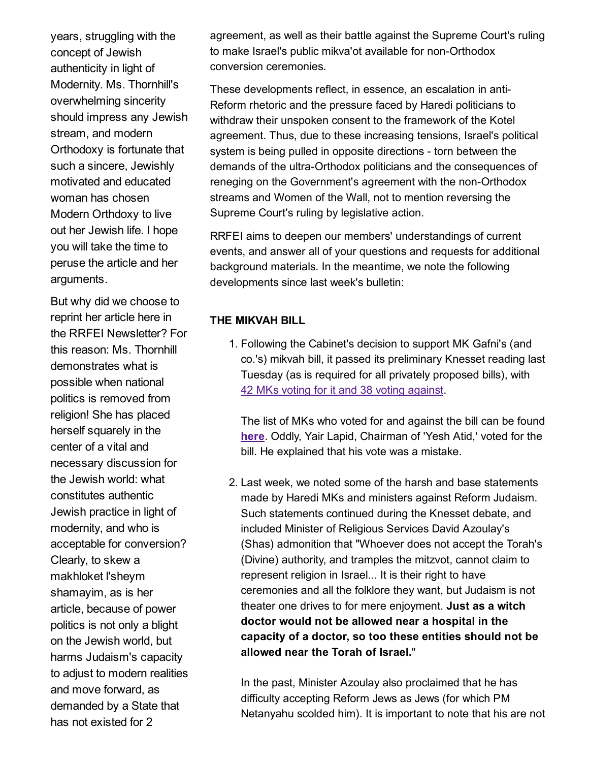years, struggling with the concept of Jewish authenticity in light of Modernity. Ms. Thornhill's overwhelming sincerity should impress any Jewish stream, and modern Orthodoxy is fortunate that such a sincere, Jewishly motivated and educated woman has chosen Modern Orthdoxy to live out her Jewish life. I hope you will take the time to peruse the article and her arguments.

But why did we choose to reprint her article here in the RRFEI Newsletter? For this reason: Ms. Thornhill demonstrates what is possible when national politics is removed from religion! She has placed herself squarely in the center of a vital and necessary discussion for the Jewish world: what constitutes authentic Jewish practice in light of modernity, and who is acceptable for conversion? Clearly, to skew a makhloket l'sheym shamayim, as is her article, because of power politics is not only a blight on the Jewish world, but harms Judaism's capacity to adjust to modern realities and move forward, as demanded by a State that has not existed for 2

agreement, as well as their battle against the Supreme Court's ruling to make Israel's public mikva'ot available for non-Orthodox conversion ceremonies.

These developments reflect, in essence, an escalation in anti-Reform rhetoric and the pressure faced by Haredi politicians to withdraw their unspoken consent to the framework of the Kotel agreement. Thus, due to these increasing tensions, Israel's political system is being pulled in opposite directions - torn between the demands of the ultra-Orthodox politicians and the consequences of reneging on the Government's agreement with the non-Orthodox streams and Women of the Wall, not to mention reversing the Supreme Court's ruling by legislative action.

RRFEI aims to deepen our members' understandings of current events, and answer all of your questions and requests for additional background materials. In the meantime, we note the following developments since last week's bulletin:

#### THE MIKVAH BILL

1. Following the Cabinet's decision to support MK Gafni's (and co.'s) mikvah bill, it passed its preliminary Knesset reading last Tuesday (as is required for all privately proposed bills), with 42 MKs voting for it and 38 voting [against](http://main.knesset.gov.il/News/PressReleases/Pages/press160316-m8s.aspx).

The list of MKs who voted for and against the bill can be found [here.](http://www.knesset.gov.il/vote/heb/Vote_Res_Map.asp?vote_id_t=24375) Oddly, Yair Lapid, Chairman of 'Yesh Atid,' voted for the bill. He explained that his vote was a mistake.

2. Last week, we noted some of the harsh and base statements made by Haredi MKs and ministers against Reform Judaism. Such statements continued during the Knesset debate, and included Minister of Religious Services David Azoulay's (Shas) admonition that "Whoever does not accept the Torah's (Divine) authority, and tramples the mitzvot, cannot claim to represent religion in Israel... It is their right to have ceremonies and all the folklore they want, but Judaism is not theater one drives to for mere enjoyment. Just as a witch doctor would not be allowed near a hospital in the capacity of a doctor, so too these entities should not be allowed near the Torah of Israel."

In the past, Minister Azoulay also proclaimed that he has difficulty accepting Reform Jews as Jews (for which PM Netanyahu scolded him). It is important to note that his are not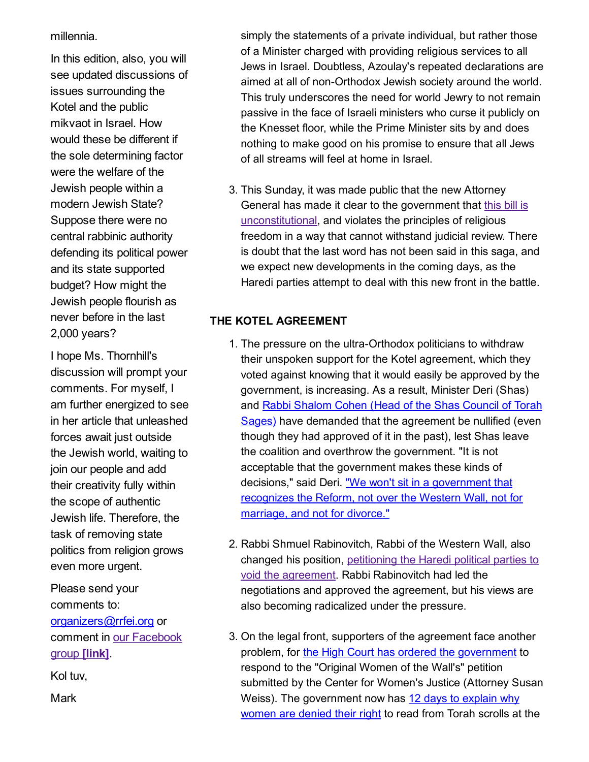millennia.

In this edition, also, you will see updated discussions of issues surrounding the Kotel and the public mikvaot in Israel. How would these be different if the sole determining factor were the welfare of the Jewish people within a modern Jewish State? Suppose there were no central rabbinic authority defending its political power and its state supported budget? How might the Jewish people flourish as never before in the last 2,000 years?

I hope Ms. Thornhill's discussion will prompt your comments. For myself, I am further energized to see in her article that unleashed forces await just outside the Jewish world, waiting to join our people and add their creativity fully within the scope of authentic Jewish life. Therefore, the task of removing state politics from religion grows even more urgent.

Please send your comments to: [organizers@rrfei.org](mailto:organizers@rrfei.org) or comment in our [Facebook](https://www.facebook.com/groups/132239560451232/) group [link].

Kol tuv,

**Mark** 

simply the statements of a private individual, but rather those of a Minister charged with providing religious services to all Jews in Israel. Doubtless, Azoulay's repeated declarations are aimed at all of non-Orthodox Jewish society around the world. This truly underscores the need for world Jewry to not remain passive in the face of Israeli ministers who curse it publicly on the Knesset floor, while the Prime Minister sits by and does nothing to make good on his promise to ensure that all Jews of all streams will feel at home in Israel.

3. This Sunday, it was made public that the new Attorney General has made it clear to the government that this bill is [unconstitutional,](http://www.timesofisrael.com/attorney-general-opposes-bill-barring-non-orthodox-from-ritual-baths/) and violates the principles of religious freedom in a way that cannot withstand judicial review. There is doubt that the last word has not been said in this saga, and we expect new developments in the coming days, as the Haredi parties attempt to deal with this new front in the battle.

#### THE KOTEL AGREEMENT

- 1. The pressure on the ultra-Orthodox politicians to withdraw their unspoken support for the Kotel agreement, which they voted against knowing that it would easily be approved by the government, is increasing. As a result, Minister Deri (Shas) and Rabbi Shalom Cohen (Head of the Shas Council of Torah Sages) have demanded that the [agreement](http://www.israelnationalnews.com/News/News.aspx/209555#.Vu-MqvkrI2w) be nullified (even though they had approved of it in the past), lest Shas leave the coalition and overthrow the government. "It is not acceptable that the government makes these kinds of decisions," said Deri. "We won't sit in a [government](http://www.timesofisrael.com/western-wall-deal-nixed-deri-said-to-tell-associates/) that recognizes the Reform, not over the Western Wall, not for marriage, and not for divorce."
- 2. Rabbi Shmuel Rabinovitch, Rabbi of the Western Wall, also changed his position, petitioning the Haredi political parties to void the agreement. Rabbi [Rabinovitch](http://forward.com/news/335946/kotel-egalitarian-prayer-advocates-have-faith-bibi-will-enforce-deal/) had led the negotiations and approved the agreement, but his views are also becoming radicalized under the pressure.
- 3. On the legal front, supporters of the agreement face another problem, for the High Court has ordered the [government](http://www.cwj.org.il/en/news/supreme-court-demands-state-clarification-how-does-robinson%E2%80%99s-arch-agreement-address-cwj%E2%80%99s) to respond to the "Original Women of the Wall's" petition submitted by the Center for Women's Justice (Attorney Susan Weiss). The [government](http://www.jpost.com/Israel-News/Court-Govt-needs-to-explain-why-women-cant-read-Torah-at-Western-Wall-448248?utm_campaign=shareaholic&utm_medium=twitter&utm_source=socialnetwork) now has 12 days to explain why women are denied their right to read from Torah scrolls at the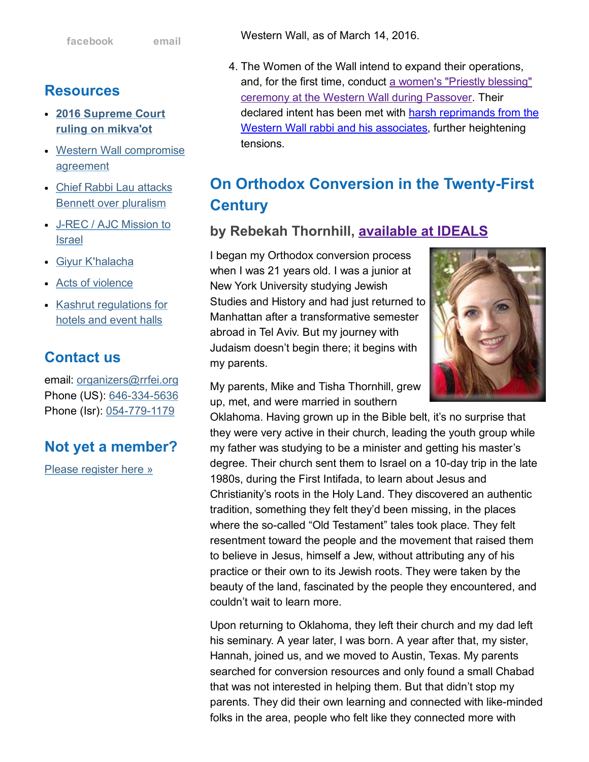### Resources

- 2016 [Supreme](http://rrfei.org/resources/supreme-court-ruling-on-mikvaot-2016/) Court ruling on mikva'ot
- Western Wall [compromise](http://rrfei.org/resources/western-wall-agreement-2016/) agreement
- Chief Rabbi Lau attacks Bennett over [pluralism](http://rrfei.org/resources/chief-rabbi-lau-slams-minister-bennett-winter-2015/)
- J-REC / AJC [Mission](http://rrfei.org/resources/ajc-j-rec-mission-to-israel-winter-2015/) to Israel
- Giyur [K'halacha](http://rrfei.org/resources/giyur-khalacha-summer-2015/)
- Acts of [violence](http://rrfei.org/resources/acts-of-violence-summer-2015/)
- Kashrut [regulations](http://rrfei.org/resources/kashrut-regulations-for-hotels-spring-2015/) for hotels and event halls

## Contact us

email: [organizers@rrfei.org](mailto:organizers@rrfei.org) Phone (US): 646-334-5636 Phone (Isr): 054-779-1179

## Not yet a member?

Please [register](http://rrfei.org/about/registration/) here »

Western Wall, as of March 14, 2016.

4. The Women of the Wall intend to expand their operations, and, for the first time, conduct a women's "Priestly blessing" ceremony at the Western Wall during [Passover.](http://us1.campaign-archive1.com/?u=1998ef3f0f337064ca67a8d7e&id=e6790ecff5&e=5ec27dec78) Their declared intent has been met with harsh reprimands from the Western Wall rabbi and his associates, further [heightening](http://www.kikar.co.il/195453.html) tensions.

# On Orthodox Conversion in the Twenty-First **Century**

### by Rebekah Thornhill, [available](https://www.jewishideas.org/articles/orthodox-conversion-twenty-first-century) at IDEALS

I began my Orthodox conversion process when I was 21 years old. I was a junior at New York University studying Jewish Studies and History and had just returned to Manhattan after a transformative semester abroad in Tel Aviv. But my journey with Judaism doesn't begin there; it begins with my parents.



My parents, Mike and Tisha Thornhill, grew up, met, and were married in southern

Oklahoma. Having grown up in the Bible belt, it's no surprise that they were very active in their church, leading the youth group while my father was studying to be a minister and getting his master's degree. Their church sent them to Israel on a 10-day trip in the late 1980s, during the First Intifada, to learn about Jesus and Christianity's roots in the Holy Land. They discovered an authentic tradition, something they felt they'd been missing, in the places where the so-called "Old Testament" tales took place. They felt resentment toward the people and the movement that raised them to believe in Jesus, himself a Jew, without attributing any of his practice or their own to its Jewish roots. They were taken by the beauty of the land, fascinated by the people they encountered, and couldn't wait to learn more.

Upon returning to Oklahoma, they left their church and my dad left his seminary. A year later, I was born. A year after that, my sister, Hannah, joined us, and we moved to Austin, Texas. My parents searched for conversion resources and only found a small Chabad that was not interested in helping them. But that didn't stop my parents. They did their own learning and connected with likeminded folks in the area, people who felt like they connected more with